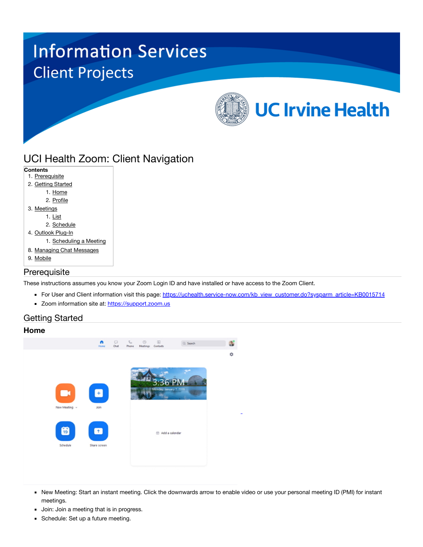# **Information Services Client Projects UC Irvine Health**

## UCI Health Zoom: Client Navigation

| Contents                  |
|---------------------------|
| 1. Prerequisite           |
| 2. Getting Started        |
| 1. Home                   |
| 2. Profile                |
| 3. Meetings               |
| 1. List                   |
| 2. Schedule               |
| 4. Outlook Plug-In        |
| 1. Scheduling a Meeting   |
| 8. Managing Chat Messages |
| 9. Mobile                 |
|                           |

## **Prerequisite**

These instructions assumes you know your Zoom Login ID and have installed or have access to the Zoom Client.

- For User and Client information visit this page: [https://uchealth.service-now.com/kb\\_view\\_customer.do?sysparm\\_article=KB0015714](https://uchealth.service-now.com/kb_view_customer.do?sysparm_article=KB0015714)
- Zoom information site at: [https://support.zoom.us](https://support.zoom.us/)

## Getting Started

## **Home**



- New Meeting: Start an instant meeting. Click the downwards arrow to enable video or use your personal meeting ID (PMI) for instant meetings.
- **Join: Join a meeting that is in progress.**
- Schedule: Set up a future meeting.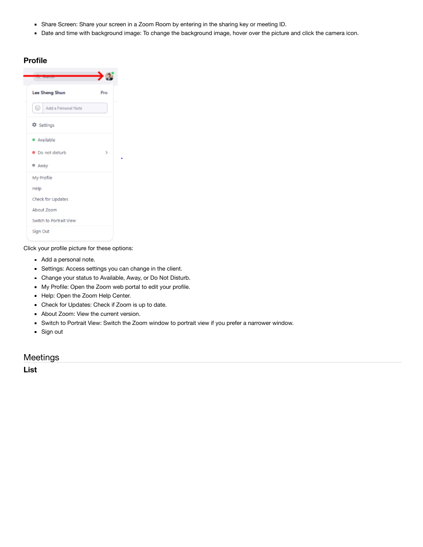- Share Screen: Share your screen in a Zoom Room by entering in the sharing key or meeting ID.
- Date and time with background image: To change the background image, hover over the picture and click the camera icon.

| of anning                |               |
|--------------------------|---------------|
| Lee Sheng Shun           | Pro           |
| ⊙<br>Add a Personal Note |               |
| C Settings               |               |
| · Available              |               |
| · Do not disturb         | $\rightarrow$ |
| o Away                   |               |
| My Profile               |               |
| Help                     |               |
| Check for Updates        |               |
| About Zoom               |               |
| Switch to Portrait View  |               |
| Sign Out                 |               |

Click your profile picture for these options:

- Add a personal note.
- Settings: Access settings you can change in the client.
- Change your status to Available, Away, or Do Not Disturb.
- My Profile: Open the Zoom web portal to edit your profile.
- Help: Open the Zoom Help Center.
- Check for Updates: Check if Zoom is up to date.
- About Zoom: View the current version.
- Switch to Portrait View: Switch the Zoom window to portrait view if you prefer a narrower window.
- Sign out

## Meetings

**List**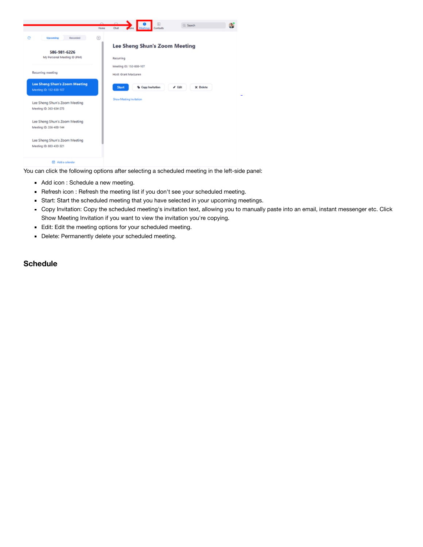

You can click the following options after selecting a scheduled meeting in the left-side panel:

- Add icon : Schedule a new meeting.
- Refresh icon : Refresh the meeting list if you don't see your scheduled meeting.
- Start: Start the scheduled meeting that you have selected in your upcoming meetings.
- Copy Invitation: Copy the scheduled meeting's invitation text, allowing you to manually paste into an email, instant messenger etc. Click Show Meeting Invitation if you want to view the invitation you're copying.
- Edit: Edit the meeting options for your scheduled meeting.
- Delete: Permanently delete your scheduled meeting.

## **Schedule**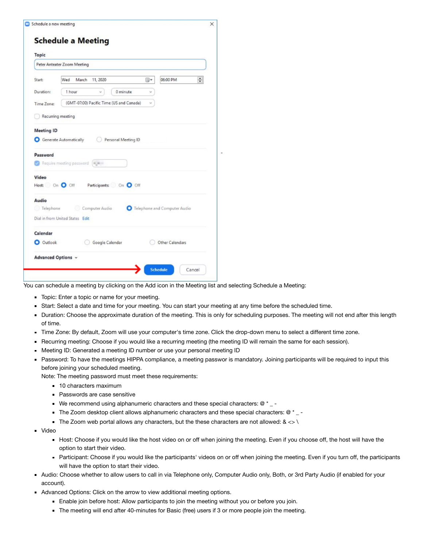| Topic                                               |                                                                                                                        |          |                              |
|-----------------------------------------------------|------------------------------------------------------------------------------------------------------------------------|----------|------------------------------|
|                                                     | Peter Anteater Zoom Meeting                                                                                            |          |                              |
| Start:                                              | Wed<br>March<br>11, 2020                                                                                               | ⊞▼       | $\frac{1}{x}$<br>06:00 PM    |
| Duration:                                           | 0 minute<br>1 hour<br>v.                                                                                               | v        |                              |
| Time Zone:                                          | (GMT-07:00) Pacific Time (US and Canada)                                                                               | $\omega$ |                              |
| Recurring meeting                                   |                                                                                                                        |          |                              |
| <b>Meeting ID</b>                                   |                                                                                                                        |          |                              |
|                                                     | Generate Automatically<br>Personal Meeting ID<br>Require meeting password [ m<br>Host: On O Off Participants: On O Off |          |                              |
|                                                     |                                                                                                                        |          |                              |
|                                                     | Computer Audio<br>Dial in from United States Edit                                                                      |          | Telephone and Computer Audio |
| Password<br>Video<br>Audio<br>Telephone<br>Calendar |                                                                                                                        |          |                              |

You can schedule a meeting by clicking on the Add icon in the Meeting list and selecting Schedule a Meeting:

- Topic: Enter a topic or name for your meeting.
- Start: Select a date and time for your meeting. You can start your meeting at any time before the scheduled time.
- Duration: Choose the approximate duration of the meeting. This is only for scheduling purposes. The meeting will not end after this length of time.
- Time Zone: By default, Zoom will use your computer's time zone. Click the drop-down menu to select a different time zone.
- Recurring meeting: Choose if you would like a recurring meeting (the meeting ID will remain the same for each session).
- Meeting ID: Generated a meeting ID number or use your personal meeting ID
- Password: To have the meetings HIPPA compliance, a meeting passwor is mandatory. Joining participants will be required to input this before joining your scheduled meeting.
	- Note: The meeting password must meet these requirements:
		- 10 characters maximum
		- **Passwords are case sensitive**
		- We recommend using alphanumeric characters and these special characters:  $@*$  -
		- The Zoom desktop client allows alphanumeric characters and these special characters:  $@$   $*$   $\_$
		- The Zoom web portal allows any characters, but the these characters are not allowed:  $8 \ll \ell$
- Video
	- Host: Choose if you would like the host video on or off when joining the meeting. Even if you choose off, the host will have the option to start their video.
	- Participant: Choose if you would like the participants' videos on or off when joining the meeting. Even if you turn off, the participants will have the option to start their video.
- Audio: Choose whether to allow users to call in via Telephone only, Computer Audio only, Both, or 3rd Party Audio (if enabled for your account).
- Advanced Options: Click on the arrow to view additional meeting options.
	- Enable join before host: Allow participants to join the meeting without you or before you join.
	- The meeting will end after 40-minutes for Basic (free) users if 3 or more people join the meeting.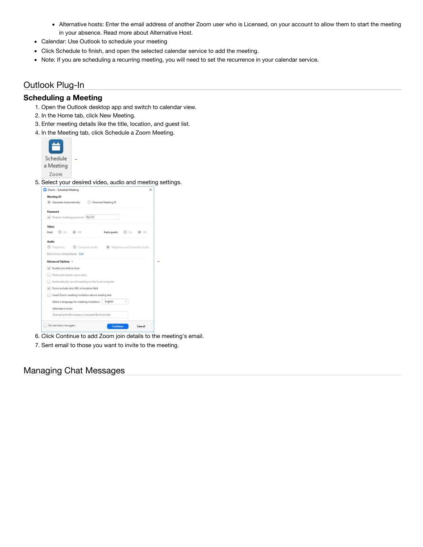- Alternative hosts: Enter the email address of another Zoom user who is Licensed, on your account to allow them to start the meeting in your absence. Read more about Alternative Host.
- Calendar: Use Outlook to schedule your meeting
- Click Schedule to finish, and open the selected calendar service to add the meeting.
- Note: If you are scheduling a recurring meeting, you will need to set the recurrence in your calendar service.

## Outlook Plug-In

#### **Scheduling a Meeting**

- 1. Open the Outlook desktop app and switch to calendar view.
- 2. In the Home tab, click New Meeting.
- 3. Enter meeting details like the title, location, and guest list.
- 4. In the Meeting tab, click Schedule a Zoom Meeting.





6. Click Continue to add Zoom join details to the meeting's email.

7. Sent email to those you want to invite to the meeting.

## Managing Chat Messages